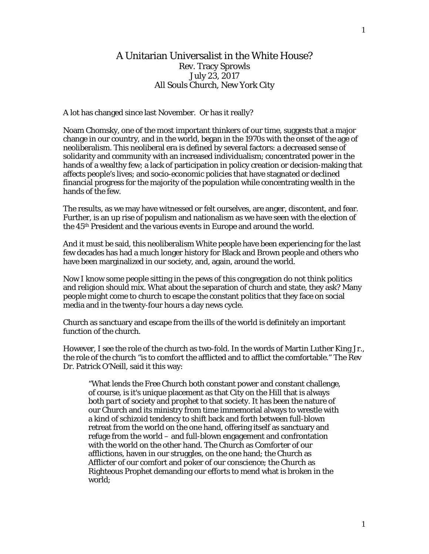## A Unitarian Universalist in the White House? Rev. Tracy Sprowls July 23, 2017 All Souls Church, New York City

A lot has changed since last November. Or has it really?

Noam Chomsky, one of the most important thinkers of our time, suggests that a major change in our country, and in the world, began in the 1970s with the onset of the age of neoliberalism. This neoliberal era is defined by several factors: a decreased sense of solidarity and community with an increased individualism; concentrated power in the hands of a wealthy few; a lack of participation in policy creation or decision-making that affects people's lives; and socio-economic policies that have stagnated or declined financial progress for the majority of the population while concentrating wealth in the hands of the few.

The results, as we may have witnessed or felt ourselves, are anger, discontent, and fear. Further, is an up rise of populism and nationalism as we have seen with the election of the 45th President and the various events in Europe and around the world.

And it must be said, this neoliberalism White people have been experiencing for the last few decades has had a much longer history for Black and Brown people and others who have been marginalized in our society, and, again, around the world.

Now I know some people sitting in the pews of this congregation do not think politics and religion should mix. What about the separation of church and state, they ask? Many people might come to church to escape the constant politics that they face on social media and in the twenty-four hours a day news cycle.

Church as sanctuary and escape from the ills of the world is definitely an important function of the church.

However, I see the role of the church as two-fold. In the words of Martin Luther King Jr., the role of the church "is to comfort the afflicted and to afflict the comfortable." The Rev Dr. Patrick O'Neill, said it this way:

"What lends the Free Church both constant power and constant challenge, of course, is it's unique placement as that City on the Hill that is always both *part of* society and *prophet to* that society. It has been the nature of our Church and its ministry from time immemorial always to wrestle with a kind of schizoid tendency to shift back and forth between full-blown retreat from the world on the one hand, offering itself as sanctuary and refuge from the world – and full-blown engagement and confrontation with the world on the other hand. The Church as Comforter of our afflictions, haven in our struggles, on the one hand; the Church as Afflicter of our comfort and poker of our conscience; the Church as Righteous Prophet demanding our efforts to mend what is broken in the world;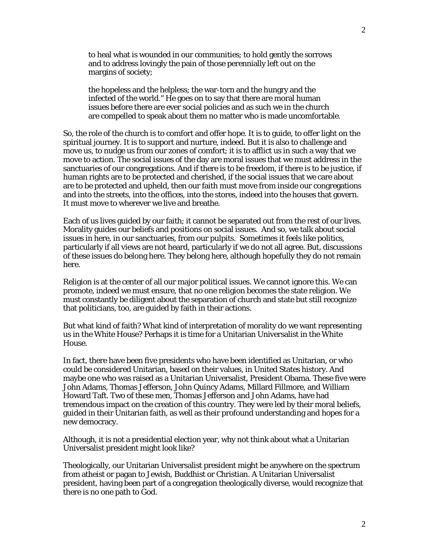to heal what is wounded in our communities; to hold gently the sorrows and to address lovingly the pain of those perennially left out on the margins of society;

the hopeless and the helpless; the war-torn and the hungry and the infected of the world." He goes on to say that there are moral human issues before there are ever social policies and as such we in the church are compelled to speak about them no matter who is made uncomfortable.

So, the role of the church is to comfort and offer hope. It is to guide, to offer light on the spiritual journey. It is to support and nurture, indeed. But it is also to challenge and move us, to nudge us from our zones of comfort; it is to afflict us in such a way that we move to action. The social issues of the day are moral issues that we must address in the sanctuaries of our congregations. And if there is to be freedom, if there is to be justice, if human rights are to be protected and cherished, if the social issues that we care about are to be protected and upheld, then our faith must move from inside our congregations and into the streets, into the offices, into the stores, indeed into the houses that govern. It must move to wherever we live and breathe.

Each of us lives guided by our faith; it cannot be separated out from the rest of our lives. Morality guides our beliefs and positions on social issues. And so, we talk about social issues in here, in our sanctuaries, from our pulpits. Sometimes it feels like politics, particularly if all views are not heard, particularly if we do not all agree. But, discussions of these issues do belong here. They belong here, although hopefully they do not remain here.

Religion is at the center of all our major political issues. We cannot ignore this. We can promote, indeed we must ensure, that no one religion becomes the state religion. We must constantly be diligent about the separation of church and state but still recognize that politicians, too, are guided by faith in their actions.

But what kind of faith? What kind of interpretation of morality do we want representing us in the White House? Perhaps it is time for a Unitarian Universalist in the White House.

In fact, there have been five presidents who have been identified as Unitarian, or who could be considered Unitarian, based on their values, in United States history. And maybe one who was raised as a Unitarian Universalist, President Obama. These five were John Adams, Thomas Jefferson, John Quincy Adams, Millard Fillmore, and William Howard Taft. Two of these men, Thomas Jefferson and John Adams, have had tremendous impact on the creation of this country. They were led by their moral beliefs, guided in their Unitarian faith, as well as their profound understanding and hopes for a new democracy.

Although, it is not a presidential election year, why not think about what a Unitarian Universalist president might look like?

Theologically, our Unitarian Universalist president might be anywhere on the spectrum from atheist or pagan to Jewish, Buddhist or Christian. A Unitarian Universalist president, having been part of a congregation theologically diverse, would recognize that there is no one path to God.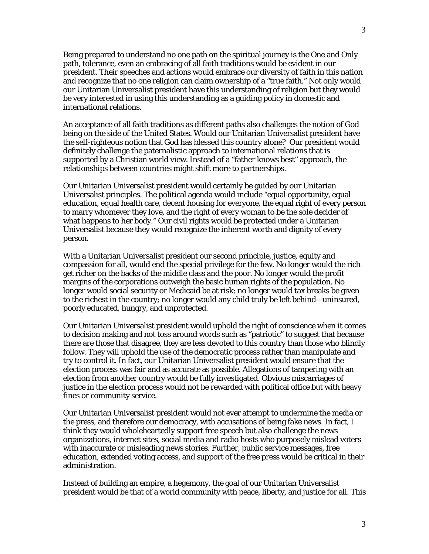Being prepared to understand no one path on the spiritual journey is the One and Only path, tolerance, even an embracing of all faith traditions would be evident in our president. Their speeches and actions would embrace our diversity of faith in this nation and recognize that no one religion can claim ownership of a "true faith." Not only would our Unitarian Universalist president have this understanding of religion but they would be very interested in using this understanding as a guiding policy in domestic and international relations.

An acceptance of all faith traditions as different paths also challenges the notion of God being on the side of the United States. Would our Unitarian Universalist president have the self-righteous notion that God has blessed this country alone? Our president would definitely challenge the paternalistic approach to international relations that is supported by a Christian world view. Instead of a "father knows best" approach, the relationships between countries might shift more to partnerships.

Our Unitarian Universalist president would certainly be guided by our Unitarian Universalist principles. The political agenda would include "equal opportunity, equal education, equal health care, decent housing for everyone, the equal right of every person to marry whomever they love, and the right of every woman to be the sole decider of what happens to her body." Our civil rights would be protected under a Unitarian Universalist because they would recognize the inherent worth and dignity of every person.

With a Unitarian Universalist president our second principle, justice, equity and compassion for all, would end the special privilege for the few. No longer would the rich get richer on the backs of the middle class and the poor. No longer would the profit margins of the corporations outweigh the basic human rights of the population. No longer would social security or Medicaid be at risk; no longer would tax breaks be given to the richest in the country; no longer would any child truly be left behind—uninsured, poorly educated, hungry, and unprotected.

Our Unitarian Universalist president would uphold the right of conscience when it comes to decision making and not toss around words such as "patriotic" to suggest that because there are those that disagree, they are less devoted to this country than those who blindly follow. They will uphold the use of the democratic process rather than manipulate and try to control it. In fact, our Unitarian Universalist president would ensure that the election process was fair and as accurate as possible. Allegations of tampering with an election from another country would be fully investigated. Obvious miscarriages of justice in the election process would not be rewarded with political office but with heavy fines or community service.

Our Unitarian Universalist president would not ever attempt to undermine the media or the press, and therefore our democracy, with accusations of being fake news. In fact, I think they would wholeheartedly support free speech but also challenge the news organizations, internet sites, social media and radio hosts who purposely mislead voters with inaccurate or misleading news stories. Further, public service messages, free education, extended voting access, and support of the free press would be critical in their administration.

Instead of building an empire, a hegemony, the goal of our Unitarian Universalist president would be that of a world community with peace, liberty, and justice for all. This